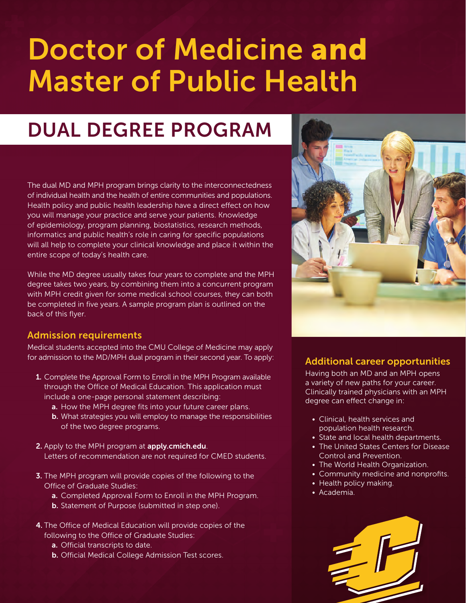# **Doctor of Medicine and Master of Public Health**

## **DUAL DEGREE PROGRAM**

The dual MD and MPH program brings clarity to the interconnectedness of individual health and the health of entire communities and populations. Health policy and public health leadership have a direct effect on how you will manage your practice and serve your patients. Knowledge of epidemiology, program planning, biostatistics, research methods, informatics and public health's role in caring for specific populations will all help to complete your clinical knowledge and place it within the entire scope of today's health care.

While the MD degree usually takes four years to complete and the MPH degree takes two years, by combining them into a concurrent program with MPH credit given for some medical school courses, they can both be completed in five years. A sample program plan is outlined on the back of this flyer.

#### **Admission requirements**

Medical students accepted into the CMU College of Medicine may apply for admission to the MD/MPH dual program in their second year. To apply:

- **1.** Complete the Approval Form to Enroll in the MPH Program available through the Office of Medical Education. This application must include a one-page personal statement describing:
	- **a.** How the MPH degree fits into your future career plans.
	- **b.** What strategies you will employ to manage the responsibilities of the two degree programs.
- **2.** Apply to the MPH program at **apply.cmich.edu**. Letters of recommendation are not required for CMED students.
- **3.** The MPH program will provide copies of the following to the Office of Graduate Studies:
	- **a.** Completed Approval Form to Enroll in the MPH Program.
	- **b.** Statement of Purpose (submitted in step one).
- **4.** The Office of Medical Education will provide copies of the following to the Office of Graduate Studies:
	- **a.** Official transcripts to date.
	- **b.** Official Medical College Admission Test scores.



#### **Additional career opportunities**

Having both an MD and an MPH opens a variety of new paths for your career. Clinically trained physicians with an MPH degree can effect change in:

- Clinical, health services and population health research.
- State and local health departments.
- The United States Centers for Disease Control and Prevention.
- The World Health Organization.
- Community medicine and nonprofits.
- Health policy making.
- Academia.